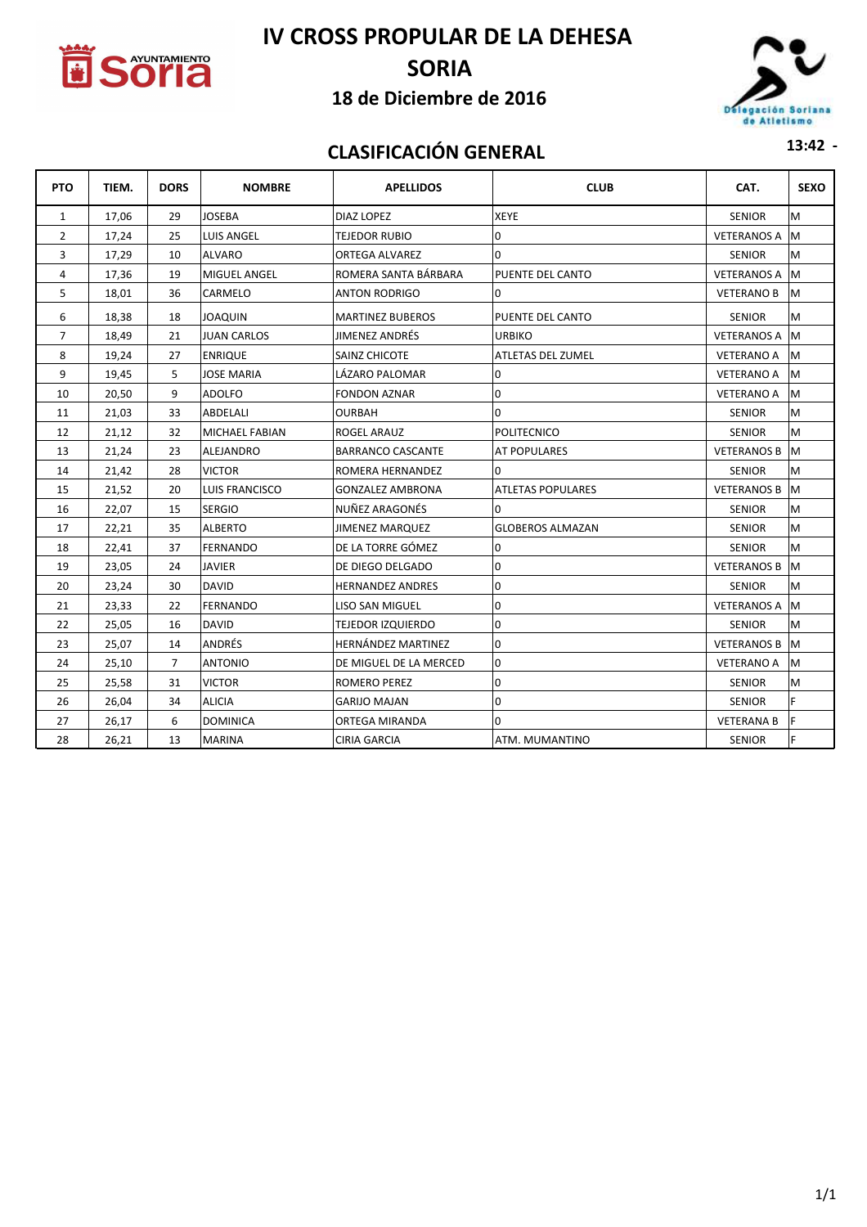

# **IV CROSS PROPULAR DE LA DEHESA**

# **SORIA**

#### **18 de Diciembre de 2016**



## **CLASIFICACIÓN GENERAL 13:42 -**

| <b>PTO</b>     | TIEM. | <b>DORS</b>    | <b>NOMBRE</b>         | <b>APELLIDOS</b>         | <b>CLUB</b>              | CAT.               | <b>SEXO</b> |
|----------------|-------|----------------|-----------------------|--------------------------|--------------------------|--------------------|-------------|
| 1              | 17,06 | 29             | <b>JOSEBA</b>         | <b>DIAZ LOPEZ</b>        | <b>XEYE</b>              | <b>SENIOR</b>      | M           |
| $\overline{2}$ | 17,24 | 25             | <b>LUIS ANGEL</b>     | <b>TEJEDOR RUBIO</b>     | $\Omega$                 | <b>VETERANOS A</b> | lM.         |
| 3              | 17,29 | 10             | <b>ALVARO</b>         | <b>ORTEGA ALVAREZ</b>    | $\Omega$                 | <b>SENIOR</b>      | M           |
| 4              | 17,36 | 19             | MIGUEL ANGEL          | ROMERA SANTA BÁRBARA     | PUENTE DEL CANTO         | <b>VETERANOS A</b> | lM.         |
| 5              | 18,01 | 36             | CARMELO               | <b>ANTON RODRIGO</b>     | 0                        | <b>VETERANO B</b>  | M           |
| 6              | 18,38 | 18             | JOAQUIN               | <b>MARTINEZ BUBEROS</b>  | PUENTE DEL CANTO         | <b>SENIOR</b>      | M           |
| $\overline{7}$ | 18,49 | 21             | <b>JUAN CARLOS</b>    | <b>JIMENEZ ANDRÉS</b>    | <b>URBIKO</b>            | <b>VETERANOS A</b> | lм          |
| 8              | 19,24 | 27             | <b>ENRIQUE</b>        | <b>SAINZ CHICOTE</b>     | <b>ATLETAS DEL ZUMEL</b> | <b>VETERANO A</b>  | M           |
| 9              | 19,45 | 5              | <b>JOSE MARIA</b>     | LÁZARO PALOMAR           | $\overline{0}$           | <b>VETERANO A</b>  | M           |
| 10             | 20,50 | 9              | <b>ADOLFO</b>         | <b>FONDON AZNAR</b>      | $\overline{0}$           | VETERANO A         | lм          |
| 11             | 21,03 | 33             | ABDELALI              | <b>OURBAH</b>            | $\Omega$                 | <b>SENIOR</b>      | M           |
| 12             | 21,12 | 32             | <b>MICHAEL FABIAN</b> | ROGEL ARAUZ              | <b>POLITECNICO</b>       | <b>SENIOR</b>      | M           |
| 13             | 21,24 | 23             | <b>ALEJANDRO</b>      | <b>BARRANCO CASCANTE</b> | AT POPULARES             | <b>VETERANOS B</b> | M           |
| 14             | 21,42 | 28             | <b>VICTOR</b>         | ROMERA HERNANDEZ         | $\Omega$                 | <b>SENIOR</b>      | M           |
| 15             | 21,52 | 20             | <b>LUIS FRANCISCO</b> | GONZALEZ AMBRONA         | <b>ATLETAS POPULARES</b> | <b>VETERANOS B</b> | M           |
| 16             | 22,07 | 15             | <b>SERGIO</b>         | NUÑEZ ARAGONÉS           | $\Omega$                 | <b>SENIOR</b>      | M           |
| 17             | 22,21 | 35             | <b>ALBERTO</b>        | <b>JIMENEZ MARQUEZ</b>   | <b>GLOBEROS ALMAZAN</b>  | <b>SENIOR</b>      | M           |
| 18             | 22,41 | 37             | <b>FERNANDO</b>       | DE LA TORRE GÓMEZ        | $\Omega$                 | <b>SENIOR</b>      | M           |
| 19             | 23,05 | 24             | <b>JAVIER</b>         | DE DIEGO DELGADO         | 0                        | <b>VETERANOS B</b> | M           |
| 20             | 23,24 | 30             | <b>DAVID</b>          | <b>HERNANDEZ ANDRES</b>  | 0                        | <b>SENIOR</b>      | M           |
| 21             | 23,33 | 22             | <b>FERNANDO</b>       | <b>LISO SAN MIGUEL</b>   | $\overline{0}$           | <b>VETERANOS A</b> | M           |
| 22             | 25,05 | 16             | <b>DAVID</b>          | <b>TEJEDOR IZQUIERDO</b> | $\Omega$                 | <b>SENIOR</b>      | M           |
| 23             | 25,07 | 14             | ANDRÉS                | HERNÁNDEZ MARTINEZ       | $\overline{0}$           | <b>VETERANOS B</b> | M           |
| 24             | 25,10 | $\overline{7}$ | <b>ANTONIO</b>        | DE MIGUEL DE LA MERCED   | 0                        | <b>VETERANO A</b>  | M           |
| 25             | 25,58 | 31             | <b>VICTOR</b>         | ROMERO PEREZ             | $\overline{0}$           | <b>SENIOR</b>      | M           |
| 26             | 26,04 | 34             | <b>ALICIA</b>         | <b>GARIJO MAJAN</b>      | $\overline{0}$           | <b>SENIOR</b>      | F           |
| 27             | 26,17 | 6              | <b>DOMINICA</b>       | ORTEGA MIRANDA           | $\Omega$                 | <b>VETERANA B</b>  | F           |
| 28             | 26,21 | 13             | <b>MARINA</b>         | <b>CIRIA GARCIA</b>      | ATM. MUMANTINO           | <b>SENIOR</b>      | F           |